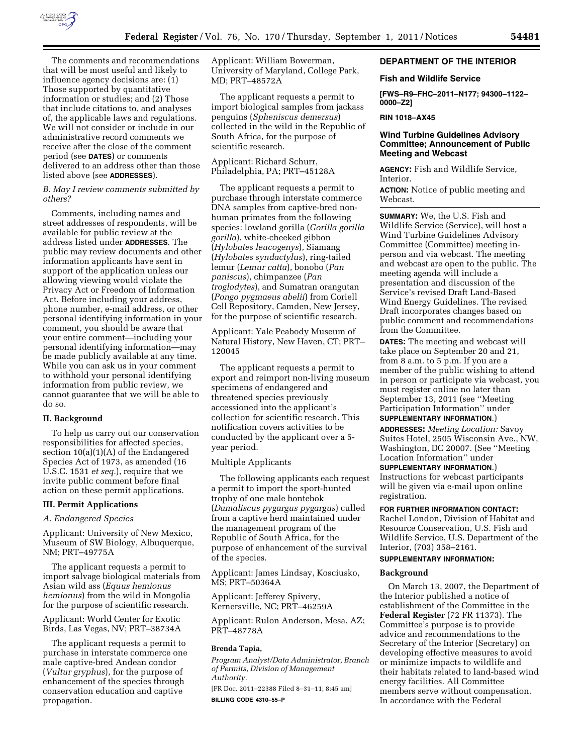

The comments and recommendations that will be most useful and likely to influence agency decisions are: (1) Those supported by quantitative information or studies; and (2) Those that include citations to, and analyses of, the applicable laws and regulations. We will not consider or include in our administrative record comments we receive after the close of the comment period (see **DATES**) or comments delivered to an address other than those listed above (see **ADDRESSES**).

# *B. May I review comments submitted by others?*

Comments, including names and street addresses of respondents, will be available for public review at the address listed under **ADDRESSES**. The public may review documents and other information applicants have sent in support of the application unless our allowing viewing would violate the Privacy Act or Freedom of Information Act. Before including your address, phone number, e-mail address, or other personal identifying information in your comment, you should be aware that your entire comment—including your personal identifying information—may be made publicly available at any time. While you can ask us in your comment to withhold your personal identifying information from public review, we cannot guarantee that we will be able to do so.

## **II. Background**

To help us carry out our conservation responsibilities for affected species, section 10(a)(1)(A) of the Endangered Species Act of 1973, as amended (16 U.S.C. 1531 *et seq.*), require that we invite public comment before final action on these permit applications.

## **III. Permit Applications**

# *A. Endangered Species*

Applicant: University of New Mexico, Museum of SW Biology, Albuquerque, NM; PRT–49775A

The applicant requests a permit to import salvage biological materials from Asian wild ass (*Equus hemionus hemionus*) from the wild in Mongolia for the purpose of scientific research.

Applicant: World Center for Exotic Birds, Las Vegas, NV; PRT–38734A

The applicant requests a permit to purchase in interstate commerce one male captive-bred Andean condor (*Vultur gryphus*), for the purpose of enhancement of the species through conservation education and captive propagation.

Applicant: William Bowerman, University of Maryland, College Park, MD; PRT–48572A

The applicant requests a permit to import biological samples from jackass penguins (*Spheniscus demersus*) collected in the wild in the Republic of South Africa, for the purpose of scientific research.

Applicant: Richard Schurr, Philadelphia, PA; PRT–45128A

The applicant requests a permit to purchase through interstate commerce DNA samples from captive-bred nonhuman primates from the following species: lowland gorilla (*Gorilla gorilla gorilla*), white-cheeked gibbon (*Hylobates leucogenys*), Siamang (*Hylobates syndactylus*), ring-tailed lemur (*Lemur catta*), bonobo (*Pan paniscus*), chimpanzee (*Pan troglodytes*), and Sumatran orangutan (*Pongo pygmaeus abelii*) from Coriell Cell Repository, Camden, New Jersey, for the purpose of scientific research.

Applicant: Yale Peabody Museum of Natural History, New Haven, CT; PRT– 120045

The applicant requests a permit to export and reimport non-living museum specimens of endangered and threatened species previously accessioned into the applicant's collection for scientific research. This notification covers activities to be conducted by the applicant over a 5 year period.

Multiple Applicants

The following applicants each request a permit to import the sport-hunted trophy of one male bontebok (*Damaliscus pygargus pygargus*) culled from a captive herd maintained under the management program of the Republic of South Africa, for the purpose of enhancement of the survival of the species.

Applicant: James Lindsay, Kosciusko, MS; PRT–50364A

Applicant: Jefferey Spivery, Kernersville, NC; PRT–46259A

Applicant: Rulon Anderson, Mesa, AZ; PRT–48778A

# **Brenda Tapia,**

*Program Analyst/Data Administrator, Branch of Permits, Division of Management Authority.* 

[FR Doc. 2011–22388 Filed 8–31–11; 8:45 am] **BILLING CODE 4310–55–P** 

# **DEPARTMENT OF THE INTERIOR**

# **Fish and Wildlife Service**

**[FWS–R9–FHC–2011–N177; 94300–1122– 0000–Z2]** 

## **RIN 1018–AX45**

# **Wind Turbine Guidelines Advisory Committee; Announcement of Public Meeting and Webcast**

**AGENCY:** Fish and Wildlife Service, Interior.

**ACTION:** Notice of public meeting and Webcast.

**SUMMARY:** We, the U.S. Fish and Wildlife Service (Service), will host a Wind Turbine Guidelines Advisory Committee (Committee) meeting inperson and via webcast. The meeting and webcast are open to the public. The meeting agenda will include a presentation and discussion of the Service's revised Draft Land-Based Wind Energy Guidelines. The revised Draft incorporates changes based on public comment and recommendations from the Committee.

**DATES:** The meeting and webcast will take place on September 20 and 21, from 8 a.m. to 5 p.m. If you are a member of the public wishing to attend in person or participate via webcast, you must register online no later than September 13, 2011 (see ''Meeting Participation Information'' under **SUPPLEMENTARY INFORMATION**.)

**ADDRESSES:** *Meeting Location:* Savoy Suites Hotel, 2505 Wisconsin Ave., NW, Washington, DC 20007. (See ''Meeting Location Information'' under

**SUPPLEMENTARY INFORMATION**.)

Instructions for webcast participants will be given via e-mail upon online registration.

## **FOR FURTHER INFORMATION CONTACT:**

Rachel London, Division of Habitat and Resource Conservation, U.S. Fish and Wildlife Service, U.S. Department of the Interior, (703) 358–2161.

# **SUPPLEMENTARY INFORMATION:**

## **Background**

On March 13, 2007, the Department of the Interior published a notice of establishment of the Committee in the **Federal Register** (72 FR 11373). The Committee's purpose is to provide advice and recommendations to the Secretary of the Interior (Secretary) on developing effective measures to avoid or minimize impacts to wildlife and their habitats related to land-based wind energy facilities. All Committee members serve without compensation. In accordance with the Federal